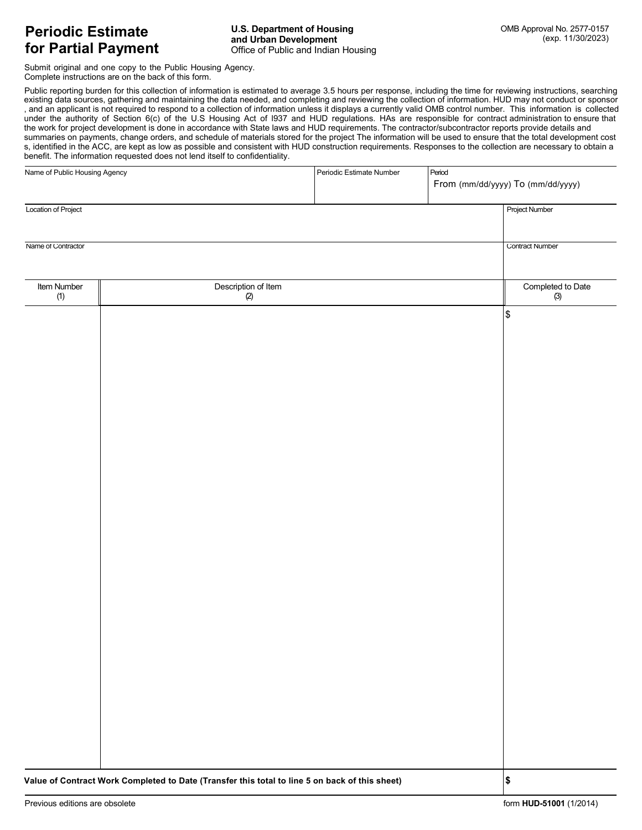Submit original and one copy to the Public Housing Agency. Complete instructions are on the back of this form.

Public reporting burden for this collection of information is estimated to average 3.5 hours per response, including the time for reviewing instructions, searching existing data sources, gathering and maintaining the data needed, and completing and reviewing the collection of information. HUD may not conduct or sponsor , and an applicant is not required to respond to a collection of information unless it displays a currently valid OMB control number. This information is collected under the authority of Section 6(c) of the U.S Housing Act of l937 and HUD regulations. HAs are responsible for contract administration to ensure that the work for project development is done in accordance with State laws and HUD requirements. The contractor/subcontractor reports provide details and summaries on payments, change orders, and schedule of materials stored for the project The information will be used to ensure that the total development cost s, identified in the ACC, are kept as low as possible and consistent with HUD construction requirements. Responses to the collection are necessary to obtain a benefit. The information requested does not lend itself to confidentiality.

| Name of Public Housing Agency |                                                                                                |                            | Periodic Estimate Number | Period | From (mm/dd/yyyy) To (mm/dd/yyyy) |  |
|-------------------------------|------------------------------------------------------------------------------------------------|----------------------------|--------------------------|--------|-----------------------------------|--|
| Location of Project           |                                                                                                |                            |                          |        | <b>Project Number</b>             |  |
| Name of Contractor            |                                                                                                |                            |                          |        | <b>Contract Number</b>            |  |
| Item Number<br>(1)            |                                                                                                | Description of Item<br>(2) |                          |        | Completed to Date<br>(3)          |  |
|                               |                                                                                                |                            |                          |        | \$                                |  |
|                               |                                                                                                |                            |                          |        |                                   |  |
|                               |                                                                                                |                            |                          |        |                                   |  |
|                               |                                                                                                |                            |                          |        |                                   |  |
|                               |                                                                                                |                            |                          |        |                                   |  |
|                               |                                                                                                |                            |                          |        |                                   |  |
|                               |                                                                                                |                            |                          |        |                                   |  |
|                               |                                                                                                |                            |                          |        |                                   |  |
|                               |                                                                                                |                            |                          |        |                                   |  |
|                               |                                                                                                |                            |                          |        |                                   |  |
|                               |                                                                                                |                            |                          |        |                                   |  |
|                               |                                                                                                |                            |                          |        |                                   |  |
|                               |                                                                                                |                            |                          |        |                                   |  |
|                               |                                                                                                |                            |                          |        |                                   |  |
|                               | Value of Contract Work Completed to Date (Transfer this total to line 5 on back of this sheet) |                            |                          |        | \$                                |  |